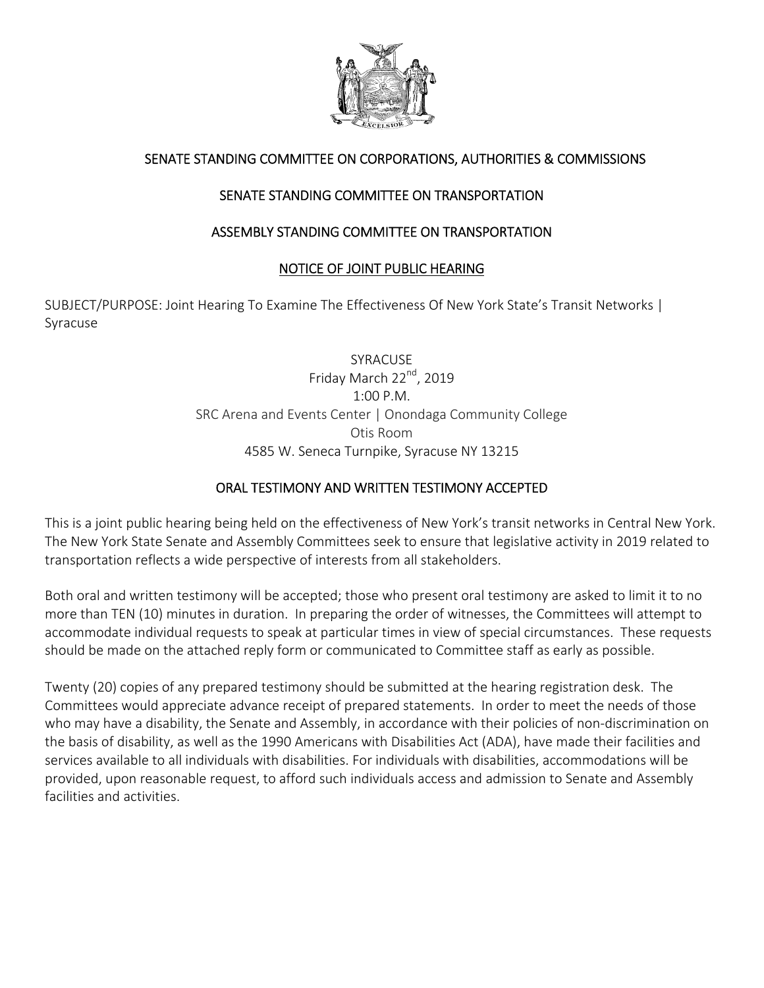

# SENATE STANDING COMMITTEE ON CORPORATIONS, AUTHORITIES & COMMISSIONS

# SENATE STANDING COMMITTEE ON TRANSPORTATION

## ASSEMBLY STANDING COMMITTEE ON TRANSPORTATION

### NOTICE OF JOINT PUBLIC HEARING

SUBJECT/PURPOSE: Joint Hearing To Examine The Effectiveness Of New York State's Transit Networks | Syracuse

> SYRACUSE Friday March 22<sup>nd</sup>, 2019 1:00 P.M. SRC Arena and Events Center | Onondaga Community College Otis Room 4585 W. Seneca Turnpike, Syracuse NY 13215

### ORAL TESTIMONY AND WRITTEN TESTIMONY ACCEPTED

This is a joint public hearing being held on the effectiveness of New York's transit networks in Central New York. The New York State Senate and Assembly Committees seek to ensure that legislative activity in 2019 related to transportation reflects a wide perspective of interests from all stakeholders.

Both oral and written testimony will be accepted; those who present oral testimony are asked to limit it to no more than TEN (10) minutes in duration. In preparing the order of witnesses, the Committees will attempt to accommodate individual requests to speak at particular times in view of special circumstances. These requests should be made on the attached reply form or communicated to Committee staff as early as possible.

Twenty (20) copies of any prepared testimony should be submitted at the hearing registration desk. The Committees would appreciate advance receipt of prepared statements. In order to meet the needs of those who may have a disability, the Senate and Assembly, in accordance with their policies of non‐discrimination on the basis of disability, as well as the 1990 Americans with Disabilities Act (ADA), have made their facilities and services available to all individuals with disabilities. For individuals with disabilities, accommodations will be provided, upon reasonable request, to afford such individuals access and admission to Senate and Assembly facilities and activities.